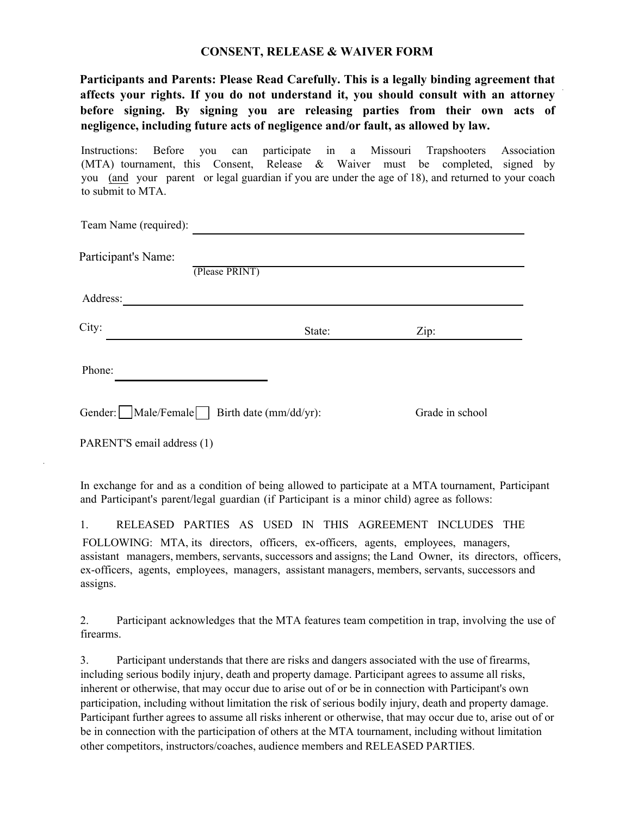## **CONSENT, RELEASE & WAIVER FORM**

**Participants and Parents: Please Read Carefully. This is a legally binding agreement that affects your rights. If you do not understand it, you should consult with an attorney before signing. By signing you are releasing parties from their own acts of negligence, including future acts of negligence and/or fault, as allowed by law.**

Instructions: Before you can participate in a Missouri Trapshooters Association (MTA) tournament, this Consent, Release & Waiver must be completed, signed by you (and your parent or legal guardian if you are under the age of 18), and returned to your coach to submit to MTA.

| Team Name (required):                                                                                                                                                                                                                              |        |                                                                                                                       |  |  |
|----------------------------------------------------------------------------------------------------------------------------------------------------------------------------------------------------------------------------------------------------|--------|-----------------------------------------------------------------------------------------------------------------------|--|--|
| Participant's Name:<br>(Please PRINT)                                                                                                                                                                                                              |        |                                                                                                                       |  |  |
| Address:                                                                                                                                                                                                                                           |        |                                                                                                                       |  |  |
| City:                                                                                                                                                                                                                                              | State: | Zip:                                                                                                                  |  |  |
| Phone:                                                                                                                                                                                                                                             |        |                                                                                                                       |  |  |
| Gender:     Male/Female   Birth date (mm/dd/yr):                                                                                                                                                                                                   |        | Grade in school                                                                                                       |  |  |
| PARENT'S email address (1)                                                                                                                                                                                                                         |        |                                                                                                                       |  |  |
| and Participant's parent/legal guardian (if Participant is a minor child) agree as follows:                                                                                                                                                        |        | In exchange for and as a condition of being allowed to participate at a MTA tournament, Participant                   |  |  |
| RELEASED PARTIES AS USED IN THIS AGREEMENT INCLUDES<br>1.<br>FOLLOWING: MTA, its directors, officers, ex-officers, agents, employees, managers,<br>ex-officers, agents, employees, managers, assistant managers, members, servants, successors and |        | <b>THE</b><br>assistant managers, members, servants, successors and assigns; the Land Owner, its directors, officers, |  |  |

assigns.

2. Participant acknowledges that the MTA features team competition in trap, involving the use of firearms.

3. Participant understands that there are risks and dangers associated with the use of firearms, including serious bodily injury, death and property damage. Participant agrees to assume all risks, inherent or otherwise, that may occur due to arise out of or be in connection with Participant's own participation, including without limitation the risk of serious bodily injury, death and property damage. Participant further agrees to assume all risks inherent or otherwise, that may occur due to, arise out of or be in connection with the participation of others at the MTA tournament, including without limitation other competitors, instructors/coaches, audience members and RELEASED PARTIES.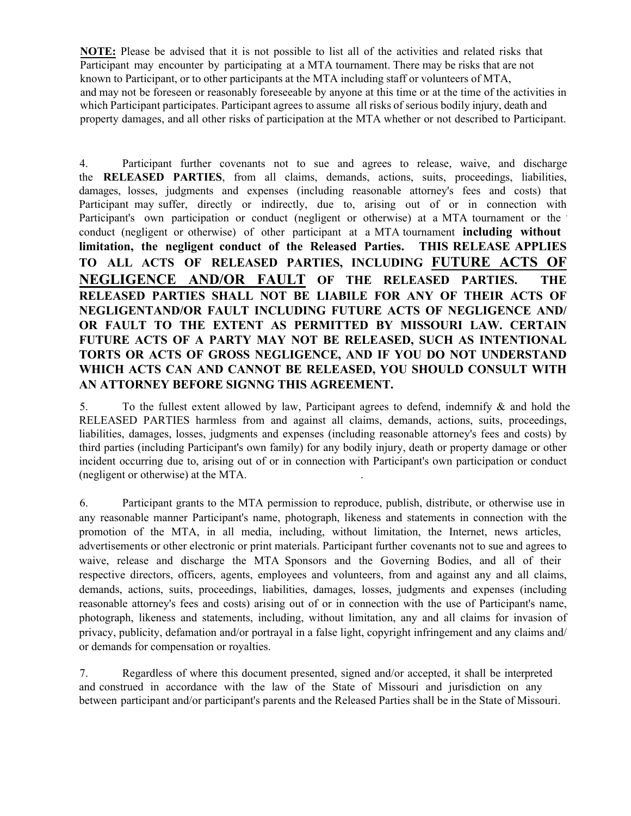**NOTE:** Please be advised that it is not possible to list all of the activities and related risks that Participant may encounter by participating at a MTA tournament. There may be risks that are not known to Participant, or to other participants at the MTA including staff or volunteers of MTA, and may not be foreseen or reasonably foreseeable by anyone at this time or at the time of the activities in which Participant participates. Participant agrees to assume all risks of serious bodily injury, death and property damages, and all other risks of participation at the MTA whether or not described to Participant.

4. Participant further covenants not to sue and agrees to release, waive, and discharge the **RELEASED PARTIES**, from all claims, demands, actions, suits, proceedings, liabilities, damages, losses, judgments and expenses (including reasonable attorney's fees and costs) that Participant may suffer, directly or indirectly, due to, arising out of or in connection with Participant's own participation or conduct (negligent or otherwise) at a MTA tournament or the conduct (negligent or otherwise) of other participant at a MTA tournament **including without limitation, the negligent conduct of the Released Parties. THIS RELEASE APPLIES TO ALL ACTS OF RELEASED PARTIES, INCLUDING FUTURE ACTS OF NEGLIGENCE AND/OR FAULT OF THE RELEASED PARTIES. THE RELEASED PARTIES SHALL NOT BE LIABILE FOR ANY OF THEIR ACTS OF NEGLIGENTAND/OR FAULT INCLUDING FUTURE ACTS OF NEGLIGENCE AND/ OR FAULT TO THE EXTENT AS PERMITTED BY MISSOURI LAW. CERTAIN FUTURE ACTS OF A PARTY MAY NOT BE RELEASED, SUCH AS INTENTIONAL TORTS OR ACTS OF GROSS NEGLIGENCE, AND IF YOU DO NOT UNDERSTAND WHICH ACTS CAN AND CANNOT BE RELEASED, YOU SHOULD CONSULT WITH AN ATTORNEY BEFORE SIGNNG THIS AGREEMENT.**

5. To the fullest extent allowed by law, Participant agrees to defend, indemnify & and hold the RELEASED PARTIES harmless from and against all claims, demands, actions, suits, proceedings, liabilities, damages, losses, judgments and expenses (including reasonable attorney's fees and costs) by third parties (including Participant's own family) for any bodily injury, death or property damage or other incident occurring due to, arising out of or in connection with Participant's own participation or conduct (negligent or otherwise) at the MTA. .

6. Participant grants to the MTA permission to reproduce, publish, distribute, or otherwise use in any reasonable manner Participant's name, photograph, likeness and statements in connection with the promotion of the MTA, in all media, including, without limitation, the Internet, news articles, advertisements or other electronic or print materials. Participant further covenants not to sue and agrees to waive, release and discharge the MTA Sponsors and the Governing Bodies, and all of their respective directors, officers, agents, employees and volunteers, from and against any and all claims, demands, actions, suits, proceedings, liabilities, damages, losses, judgments and expenses (including reasonable attorney's fees and costs) arising out of or in connection with the use of Participant's name, photograph, likeness and statements, including, without limitation, any and all claims for invasion of privacy, publicity, defamation and/or portrayal in a false light, copyright infringement and any claims and/ or demands for compensation or royalties.

7. Regardless of where this document presented, signed and/or accepted, it shall be interpreted and construed in accordance with the law of the State of Missouri and jurisdiction on any between participant and/or participant's parents and the Released Parties shall be in the State of Missouri.